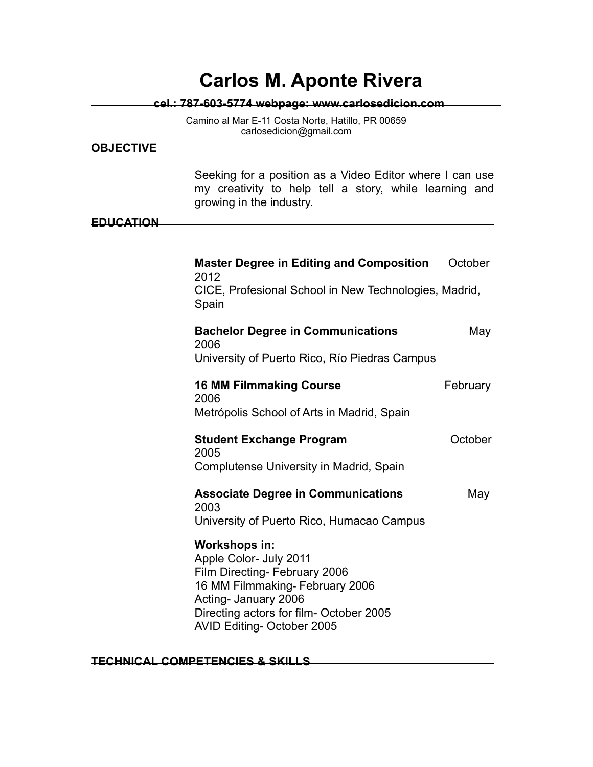|                  | <b>Carlos M. Aponte Rivera</b>                                                                                                                                                                              |                                                       |  |
|------------------|-------------------------------------------------------------------------------------------------------------------------------------------------------------------------------------------------------------|-------------------------------------------------------|--|
|                  | cel.: 787-603-5774 webpage: www.carlosedicion.com                                                                                                                                                           |                                                       |  |
|                  | Camino al Mar E-11 Costa Norte, Hatillo, PR 00659<br>carlosedicion@gmail.com                                                                                                                                |                                                       |  |
| <b>OBJECTIVE</b> |                                                                                                                                                                                                             |                                                       |  |
| <b>EDUCATION</b> | Seeking for a position as a Video Editor where I can use<br>my creativity to help tell a story, while learning and<br>growing in the industry.                                                              |                                                       |  |
|                  |                                                                                                                                                                                                             |                                                       |  |
|                  | <b>Master Degree in Editing and Composition</b><br>2012                                                                                                                                                     | October                                               |  |
|                  | Spain                                                                                                                                                                                                       | CICE, Profesional School in New Technologies, Madrid, |  |
|                  | <b>Bachelor Degree in Communications</b>                                                                                                                                                                    | May                                                   |  |
|                  | 2006<br>University of Puerto Rico, Río Piedras Campus                                                                                                                                                       |                                                       |  |
|                  | <b>16 MM Filmmaking Course</b><br>2006                                                                                                                                                                      | February                                              |  |
|                  | Metrópolis School of Arts in Madrid, Spain                                                                                                                                                                  |                                                       |  |
|                  | <b>Student Exchange Program</b><br>2005                                                                                                                                                                     | October                                               |  |
|                  | Complutense University in Madrid, Spain                                                                                                                                                                     |                                                       |  |
|                  | <b>Associate Degree in Communications</b><br>2003                                                                                                                                                           | May                                                   |  |
|                  | University of Puerto Rico, Humacao Campus                                                                                                                                                                   |                                                       |  |
|                  | Workshops in:<br>Apple Color- July 2011<br>Film Directing- February 2006<br>16 MM Filmmaking- February 2006<br>Acting- January 2006<br>Directing actors for film- October 2005<br>AVID Editing-October 2005 |                                                       |  |

# **TECHNICAL COMPETENCIES & SKILLS**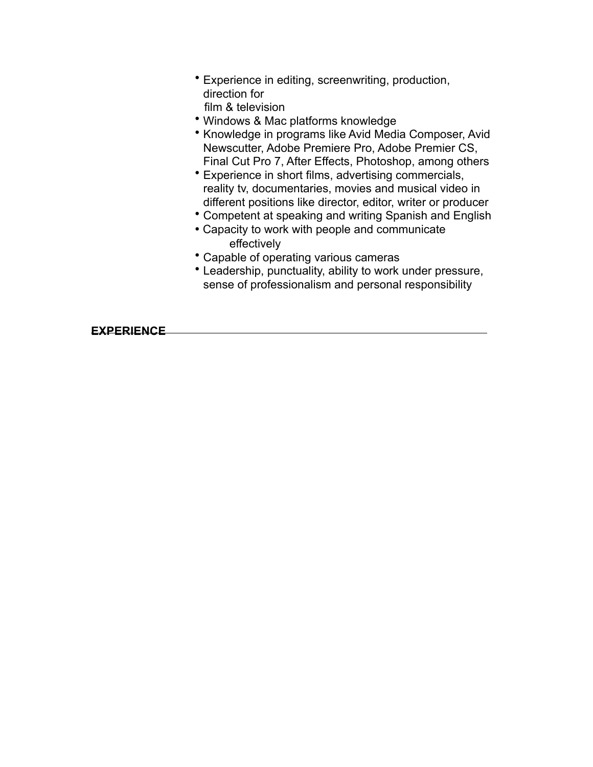- Experience in editing, screenwriting, production, direction for film & television
- Windows & Mac platforms knowledge
- Knowledge in programs like Avid Media Composer, Avid Newscutter, Adobe Premiere Pro, Adobe Premier CS, Final Cut Pro 7, After Effects, Photoshop, among others
- Experience in short films, advertising commercials, reality tv, documentaries, movies and musical video in different positions like director, editor, writer or producer
- Competent at speaking and writing Spanish and English
- Capacity to work with people and communicate effectively
- Capable of operating various cameras
- Leadership, punctuality, ability to work under pressure, sense of professionalism and personal responsibility

**EXPERIENCE**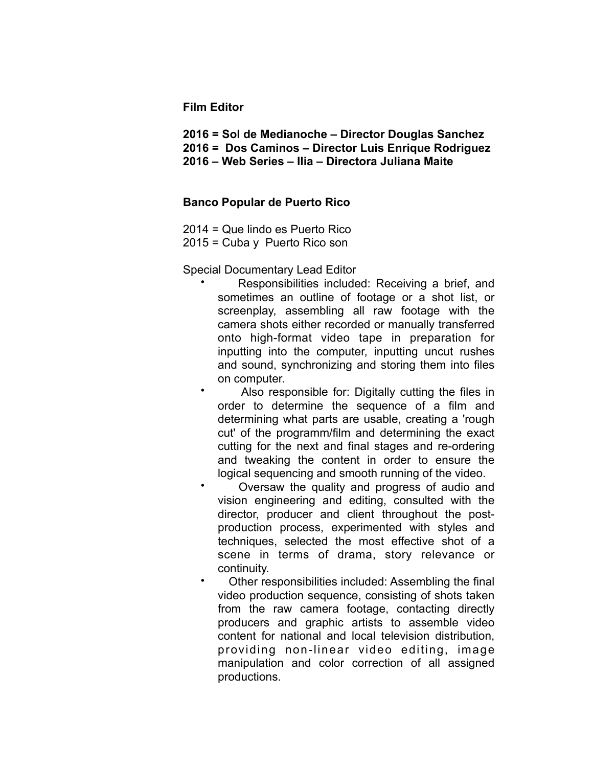## **Film Editor**

- **2016 = Sol de Medianoche Director Douglas Sanchez**
- **2016 = Dos Caminos Director Luis Enrique Rodriguez**
	- **2016 Web Series Ilia Directora Juliana Maite**

## **Banco Popular de Puerto Rico**

- 2014 = Que lindo es Puerto Rico
- 2015 = Cuba y Puerto Rico son

## Special Documentary Lead Editor

- Responsibilities included: Receiving a brief, and sometimes an outline of footage or a shot list, or screenplay, assembling all raw footage with the camera shots either recorded or manually transferred onto high-format video tape in preparation for inputting into the computer, inputting uncut rushes and sound, synchronizing and storing them into files on computer.
- Also responsible for: Digitally cutting the files in order to determine the sequence of a film and determining what parts are usable, creating a 'rough cut' of the programm/film and determining the exact cutting for the next and final stages and re-ordering and tweaking the content in order to ensure the logical sequencing and smooth running of the video.
- Oversaw the quality and progress of audio and vision engineering and editing, consulted with the director, producer and client throughout the postproduction process, experimented with styles and techniques, selected the most effective shot of a scene in terms of drama, story relevance or continuity.
- Other responsibilities included: Assembling the final video production sequence, consisting of shots taken from the raw camera footage, contacting directly producers and graphic artists to assemble video content for national and local television distribution, providing non-linear video editing, image manipulation and color correction of all assigned productions.